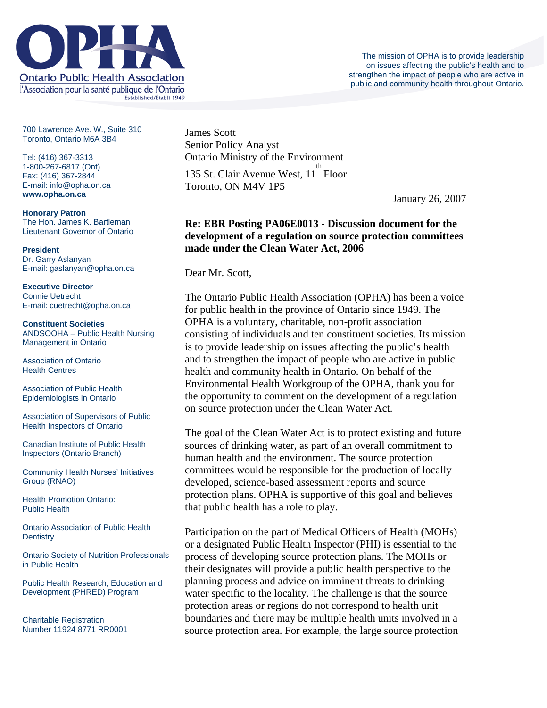

700 Lawrence Ave. W., Suite 310 Toronto, Ontario M6A 3B4

Tel: (416) 367-3313 1-800-267-6817 (Ont) Fax: (416) 367-2844 E-mail: info@opha.on.ca **www.opha.on.ca** 

**Honorary Patron**  The Hon. James K. Bartleman Lieutenant Governor of Ontario

**President**  Dr. Garry Aslanyan E-mail: gaslanyan@opha.on.ca

**Executive Director**  Connie Uetrecht E-mail: cuetrecht@opha.on.ca

**Constituent Societies**  ANDSOOHA – Public Health Nursing Management in Ontario

Association of Ontario Health Centres

Association of Public Health Epidemiologists in Ontario

Association of Supervisors of Public Health Inspectors of Ontario

Canadian Institute of Public Health Inspectors (Ontario Branch)

Community Health Nurses' Initiatives Group (RNAO)

Health Promotion Ontario: Public Health

Ontario Association of Public Health **Dentistry** 

Ontario Society of Nutrition Professionals in Public Health

Public Health Research, Education and Development (PHRED) Program

Charitable Registration Number 11924 8771 RR0001 James Scott Senior Policy Analyst Ontario Ministry of the Environment 135 St. Clair Avenue West, 11<sup>th</sup> Floor Toronto, ON M4V 1P5

January 26, 2007

## **Re: EBR Posting PA06E0013 - Discussion document for the development of a regulation on source protection committees made under the Clean Water Act, 2006**

Dear Mr. Scott,

The Ontario Public Health Association (OPHA) has been a voice for public health in the province of Ontario since 1949. The OPHA is a voluntary, charitable, non-profit association consisting of individuals and ten constituent societies. Its mission is to provide leadership on issues affecting the public's health and to strengthen the impact of people who are active in public health and community health in Ontario. On behalf of the Environmental Health Workgroup of the OPHA, thank you for the opportunity to comment on the development of a regulation on source protection under the Clean Water Act.

The goal of the Clean Water Act is to protect existing and future sources of drinking water, as part of an overall commitment to human health and the environment. The source protection committees would be responsible for the production of locally developed, science-based assessment reports and source protection plans. OPHA is supportive of this goal and believes that public health has a role to play.

Participation on the part of Medical Officers of Health (MOHs) or a designated Public Health Inspector (PHI) is essential to the process of developing source protection plans. The MOHs or their designates will provide a public health perspective to the planning process and advice on imminent threats to drinking water specific to the locality. The challenge is that the source protection areas or regions do not correspond to health unit boundaries and there may be multiple health units involved in a source protection area. For example, the large source protection